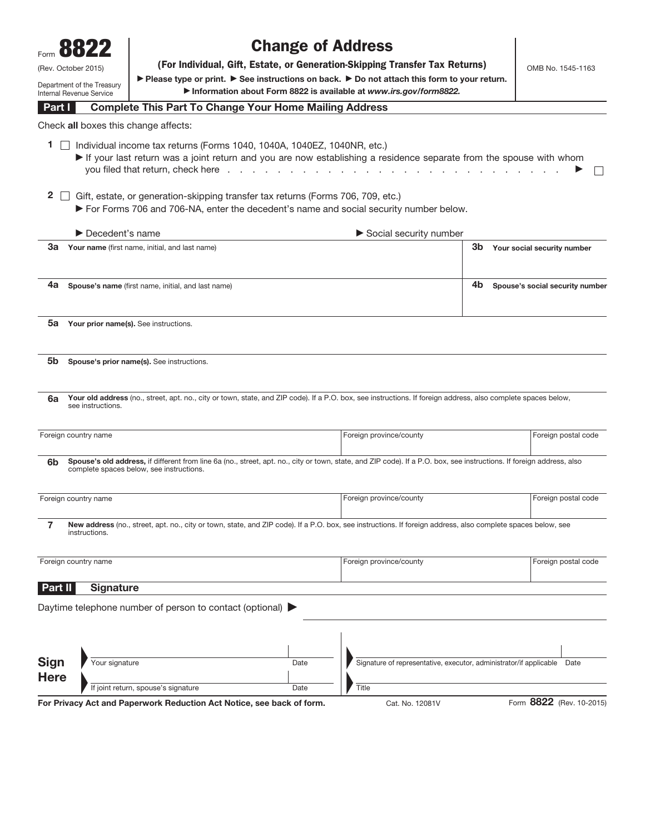|                                                        | 8822                                  |                                                                                                                                                                                                                                                                                             | <b>Change of Address</b> |                                                                                                                                                                       |                                 |
|--------------------------------------------------------|---------------------------------------|---------------------------------------------------------------------------------------------------------------------------------------------------------------------------------------------------------------------------------------------------------------------------------------------|--------------------------|-----------------------------------------------------------------------------------------------------------------------------------------------------------------------|---------------------------------|
| (Rev. October 2015)                                    |                                       |                                                                                                                                                                                                                                                                                             |                          | (For Individual, Gift, Estate, or Generation-Skipping Transfer Tax Returns)                                                                                           | OMB No. 1545-1163               |
| Department of the Treasury<br>Internal Revenue Service |                                       | ▶ Please type or print. ▶ See instructions on back. ▶ Do not attach this form to your return.<br>Information about Form 8822 is available at www.irs.gov/form8822.                                                                                                                          |                          |                                                                                                                                                                       |                                 |
| Part I                                                 |                                       | <b>Complete This Part To Change Your Home Mailing Address</b>                                                                                                                                                                                                                               |                          |                                                                                                                                                                       |                                 |
|                                                        |                                       | Check all boxes this change affects:                                                                                                                                                                                                                                                        |                          |                                                                                                                                                                       |                                 |
| 1.<br>2                                                |                                       | Individual income tax returns (Forms 1040, 1040A, 1040EZ, 1040NR, etc.)<br>you filed that return, check here<br>Gift, estate, or generation-skipping transfer tax returns (Forms 706, 709, etc.)<br>► For Forms 706 and 706-NA, enter the decedent's name and social security number below. |                          | If your last return was a joint return and you are now establishing a residence separate from the spouse with whom                                                    |                                 |
|                                                        | $\blacktriangleright$ Decedent's name |                                                                                                                                                                                                                                                                                             |                          | Social security number                                                                                                                                                |                                 |
|                                                        |                                       | <b>3a</b> Your name (first name, initial, and last name)                                                                                                                                                                                                                                    |                          | 3b                                                                                                                                                                    | Your social security number     |
| 4а                                                     |                                       | Spouse's name (first name, initial, and last name)                                                                                                                                                                                                                                          |                          | 4b                                                                                                                                                                    | Spouse's social security number |
| 5a                                                     |                                       | Your prior name(s). See instructions.                                                                                                                                                                                                                                                       |                          |                                                                                                                                                                       |                                 |
| 5b.<br>6a                                              |                                       | Spouse's prior name(s). See instructions.                                                                                                                                                                                                                                                   |                          | Your old address (no., street, apt. no., city or town, state, and ZIP code). If a P.O. box, see instructions. If foreign address, also complete spaces below,         |                                 |
|                                                        | see instructions.                     |                                                                                                                                                                                                                                                                                             |                          |                                                                                                                                                                       |                                 |
|                                                        | Foreign country name                  |                                                                                                                                                                                                                                                                                             |                          | Foreign province/county                                                                                                                                               | Foreign postal code             |
| 6b                                                     |                                       | complete spaces below, see instructions.                                                                                                                                                                                                                                                    |                          | Spouse's old address, if different from line 6a (no., street, apt. no., city or town, state, and ZIP code). If a P.O. box, see instructions. If foreign address, also |                                 |
|                                                        | Foreign country name                  |                                                                                                                                                                                                                                                                                             |                          | Foreign province/county                                                                                                                                               | Foreign postal code             |
| 7                                                      | instructions.                         |                                                                                                                                                                                                                                                                                             |                          | New address (no., street, apt. no., city or town, state, and ZIP code). If a P.O. box, see instructions. If foreign address, also complete spaces below, see          |                                 |
|                                                        | Foreign country name                  |                                                                                                                                                                                                                                                                                             |                          | Foreign province/county                                                                                                                                               | Foreign postal code             |
| Part II                                                | <b>Signature</b>                      |                                                                                                                                                                                                                                                                                             |                          |                                                                                                                                                                       |                                 |
|                                                        |                                       | Daytime telephone number of person to contact (optional) ▶                                                                                                                                                                                                                                  |                          |                                                                                                                                                                       |                                 |
|                                                        |                                       |                                                                                                                                                                                                                                                                                             |                          |                                                                                                                                                                       |                                 |
| Sign<br><b>Here</b>                                    | Your signature                        |                                                                                                                                                                                                                                                                                             | Date                     | Signature of representative, executor, administrator/if applicable                                                                                                    | Date                            |
|                                                        |                                       | If joint return, spouse's signature                                                                                                                                                                                                                                                         | Date                     | Title                                                                                                                                                                 |                                 |
|                                                        |                                       | For Privacy Act and Paperwork Reduction Act Notice, see back of form.                                                                                                                                                                                                                       |                          | Cat. No. 12081V                                                                                                                                                       | Form 8822 (Rev. 10-2015)        |